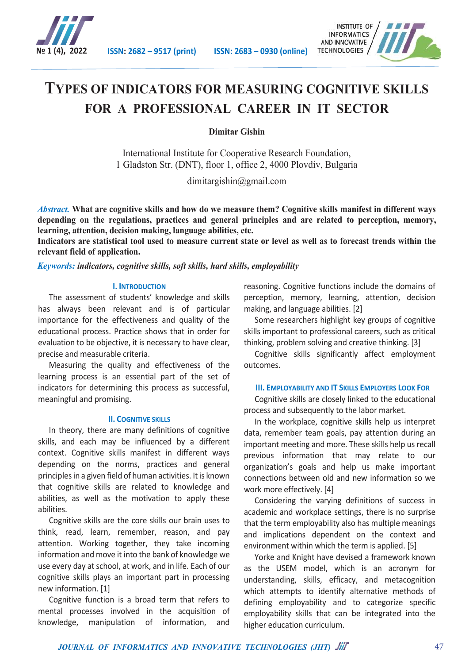



# **TYPES OF INDICATORS FOR MEASURING COGNITIVE SKILLS FOR A PROFESSIONAL CAREER IN IT SECTOR**

**Dimitar Gishin**

International Institute for Cooperative Research Foundation, 1 Gladston Str. (DNT), floor 1, office 2, 4000 Plovdiv, Bulgaria

dimitargishin@gmail.com

*Abstract.* **What are cognitive skills and how do we measure them? Cognitive skills manifest in different ways depending on the regulations, practices and general principles and are related to perception, memory, learning, attention, decision making, language abilities, etc.**

**Indicators are statistical tool used to measure current state or level as well as to forecast trends within the relevant field of application.**

*Keywords: indicators, cognitive skills, soft skills, hard skills, employability*

## **I. INTRODUCTION**

The assessment of students' knowledge and skills has always been relevant and is of particular importance for the effectiveness and quality of the educational process. Practice shows that in order for evaluation to be objective, it is necessary to have clear, precise and measurable criteria.

Measuring the quality and effectiveness of the learning process is an essential part of the set of indicators for determining this process as successful, meaningful and promising.

## **II. COGNITIVE SKILLS**

In theory, there are many definitions of cognitive skills, and each may be influenced by a different context. Cognitive skills manifest in different ways depending on the norms, practices and general principles in a given field of human activities. It is known that cognitive skills are related to knowledge and abilities, as well as the motivation to apply these abilities.

Cognitive skills are the core skills our brain uses to think, read, learn, remember, reason, and pay attention. Working together, they take incoming information and move it into the bank of knowledge we use every day at school, at work, and in life. Each of our cognitive skills plays an important part in processing new information. [1]

Cognitive function is a broad term that refers to mental processes involved in the acquisition of knowledge, manipulation of information, and

reasoning. Cognitive functions include the domains of perception, memory, learning, attention, decision making, and language abilities. [2]

Some researchers highlight key groups of cognitive skills important to professional careers, such as critical thinking, problem solving and creative thinking. [3]

Cognitive skills significantly affect employment outcomes.

## **III. EMPLOYABILITY AND IT SKILLS EMPLOYERS LOOK FOR**

Cognitive skills are closely linked to the educational process and subsequently to the labor market.

In the workplace, cognitive skills help us interpret data, remember team goals, pay attention during an important meeting and more. These skills help us recall previous information that may relate to our organization's goals and help us make important connections between old and new information so we work more effectively. [4]

Considering the varying definitions of success in academic and workplace settings, there is no surprise that the term employability also has multiple meanings and implications dependent on the context and environment within which the term is applied. [5]

Yorke and Knight have devised a framework known as the USEM model, which is an acronym for understanding, skills, efficacy, and metacognition which attempts to identify alternative methods of defining employability and to categorize specific employability skills that can be integrated into the higher education curriculum.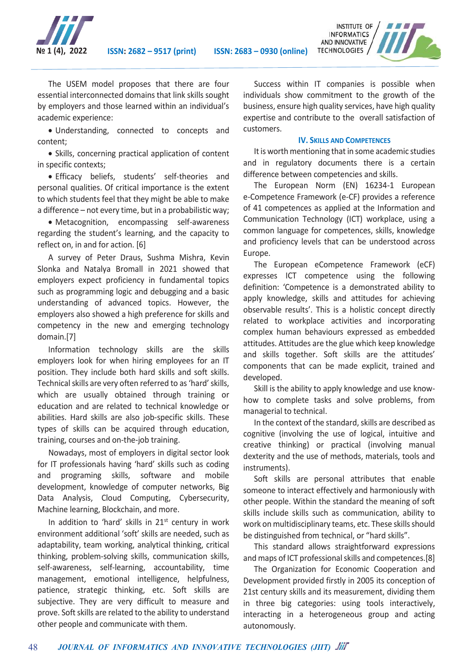



The USEM model proposes that there are four essential interconnected domains that link skills sought by employers and those learned within an individual's academic experience:

 Understanding, connected to concepts and content;

• Skills, concerning practical application of content in specific contexts;

 Efficacy beliefs, students' self-theories and personal qualities. Of critical importance is the extent to which students feel that they might be able to make a difference – not every time, but in a probabilistic way;

 Metacognition, encompassing self-awareness regarding the student's learning, and the capacity to reflect on, in and for action. [6]

A survey of Peter Draus, Sushma Mishra, Kevin Slonka and Natalya Bromall in 2021 showed that employers expect proficiency in fundamental topics such as programming logic and debugging and a basic understanding of advanced topics. However, the employers also showed a high preference for skills and competency in the new and emerging technology domain.[7]

Information technology skills are the skills employers look for when hiring employees for an IT position. They include both hard skills and soft skills. Technical skills are very often referred to as 'hard'skills, which are usually obtained through training or education and are related to technical knowledge or abilities. Hard skills are also job-specific skills. These types of skills can be acquired through education, training, courses and on-the-job training.

Nowadays, most of employers in digital sector look for IT professionals having 'hard' skills such as coding and programing skills, software and mobile development, knowledge of computer networks, Big Data Analysis, Cloud Computing, Cybersecurity, Machine learning, Blockchain, and more.

In addition to 'hard' skills in  $21<sup>st</sup>$  century in work environment additional 'soft' skills are needed, such as adaptability, team working, analytical thinking, critical thinking, problem-solving skills, communication skills, self-awareness, self-learning, accountability, time management, emotional intelligence, helpfulness, patience, strategic thinking, etc. Soft skills are subjective. They are very difficult to measure and prove. Soft skills are related to the ability to understand other people and communicate with them.

Success within IT companies is possible when individuals show commitment to the growth of the business, ensure high quality services, have high quality expertise and contribute to the overall satisfaction of customers.

## **IV. SKILLS AND COMPETENCES**

It is worth mentioning that in some academic studies and in regulatory documents there is a certain difference between competencies and skills.

The European Norm (EN) 16234-1 European e-Competence Framework (e-CF) provides a reference of 41 competences as applied at the Information and Communication Technology (ICT) workplace, using a common language for competences, skills, knowledge and proficiency levels that can be understood across Europe.

The European eCompetence Framework (eCF) expresses ICT competence using the following definition: 'Competence is a demonstrated ability to apply knowledge, skills and attitudes for achieving observable results'. This is a holistic concept directly related to workplace activities and incorporating complex human behaviours expressed as embedded attitudes. Attitudes are the glue which keep knowledge and skills together. Soft skills are the attitudes' components that can be made explicit, trained and developed.

Skill is the ability to apply knowledge and use knowhow to complete tasks and solve problems, from managerial to technical.

In the context of the standard, skills are described as cognitive (involving the use of logical, intuitive and creative thinking) or practical (involving manual dexterity and the use of methods, materials, tools and instruments).

Soft skills are personal attributes that enable someone to interact effectively and harmoniously with other people. Within the standard the meaning of soft skills include skills such as communication, ability to work on multidisciplinary teams, etc. These skills should be distinguished from technical, or "hard skills".

This standard allows straightforward expressions and maps of ICT professional skills and competences.[8]

The Organization for Economic Cooperation and Development provided firstly in 2005 its conception of 21st century skills and its measurement, dividing them in three big categories: using tools interactively, interacting in a heterogeneous group and acting autonomously.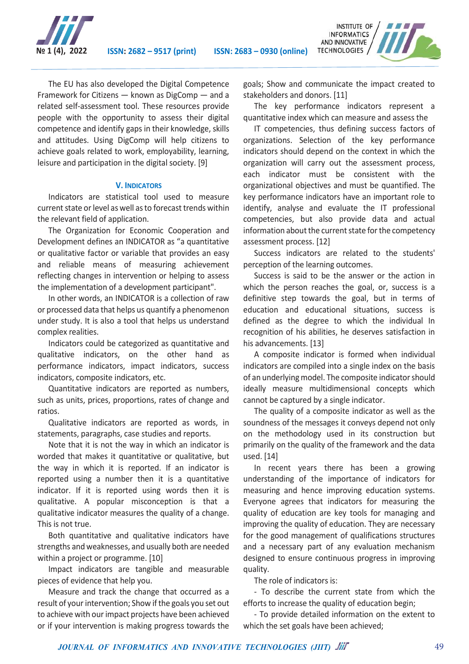



The EU has also developed the Digital Competence Framework for Citizens — known as DigComp — and a related self-assessment tool. These resources provide people with the opportunity to assess their digital competence and identify gaps in their knowledge, skills and attitudes. Using DigComp will help citizens to achieve goals related to work, employability, learning, leisure and participation in the digital society. [9]

## **V. INDICATORS**

Indicators are statistical tool used to measure current state or level as well as to forecast trends within the relevant field of application.

The Organization for Economic Cooperation and Development defines an INDICATOR as "a quantitative or qualitative factor or variable that provides an easy and reliable means of measuring achievement reflecting changes in intervention or helping to assess the implementation of a development participant".

In other words, an INDICATOR is a collection of raw or processed data that helps us quantify a phenomenon under study. It is also a tool that helps us understand complex realities.

Indicators could be categorized as quantitative and qualitative indicators, on the other hand as performance indicators, impact indicators, success indicators, composite indicators, etc.

Quantitative indicators are reported as numbers, such as units, prices, proportions, rates of change and ratios.

Qualitative indicators are reported as words, in statements, paragraphs, case studies and reports.

Note that it is not the way in which an indicator is worded that makes it quantitative or qualitative, but the way in which it is reported. If an indicator is reported using a number then it is a quantitative indicator. If it is reported using words then it is qualitative. A popular misconception is that a qualitative indicator measures the quality of a change. This is not true.

Both quantitative and qualitative indicators have strengths and weaknesses, and usually both are needed within a project or programme. [10]

Impact indicators are tangible and measurable pieces of evidence that help you.

Measure and track the change that occurred as a result of your intervention; Show if the goals you set out to achieve with our impact projects have been achieved or if your intervention is making progress towards the

goals; Show and communicate the impact created to stakeholders and donors. [11]

The key performance indicators represent a quantitative index which can measure and assess the

IT competencies, thus defining success factors of organizations. Selection of the key performance indicators should depend on the context in which the organization will carry out the assessment process, each indicator must be consistent with the organizational objectives and must be quantified. The key performance indicators have an important role to identify, analyse and evaluate the IT professional competencies, but also provide data and actual information about the current state for the competency assessment process. [12]

Success indicators are related to the students' perception of the learning outcomes.

Success is said to be the answer or the action in which the person reaches the goal, or, success is a definitive step towards the goal, but in terms of education and educational situations, success is defined as the degree to which the individual In recognition of his abilities, he deserves satisfaction in his advancements. [13]

A composite indicator is formed when individual indicators are compiled into a single index on the basis of an underlying model. The composite indicator should ideally measure multidimensional concepts which cannot be captured by a single indicator.

The quality of a composite indicator as well as the soundness of the messages it conveys depend not only on the methodology used in its construction but primarily on the quality of the framework and the data used. [14]

In recent years there has been a growing understanding of the importance of indicators for measuring and hence improving education systems. Everyone agrees that indicators for measuring the quality of education are key tools for managing and improving the quality of education. They are necessary for the good management of qualifications structures and a necessary part of any evaluation mechanism designed to ensure continuous progress in improving quality.

The role of indicators is:

- To describe the current state from which the efforts to increase the quality of education begin;

- To provide detailed information on the extent to which the set goals have been achieved;